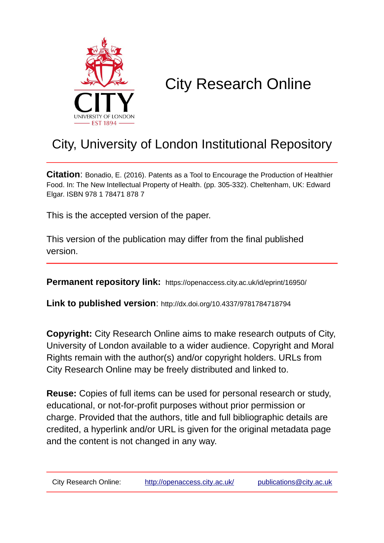

# City Research Online

# City, University of London Institutional Repository

**Citation**: Bonadio, E. (2016). Patents as a Tool to Encourage the Production of Healthier Food. In: The New Intellectual Property of Health. (pp. 305-332). Cheltenham, UK: Edward Elgar. ISBN 978 1 78471 878 7

This is the accepted version of the paper.

This version of the publication may differ from the final published version.

**Permanent repository link:** https://openaccess.city.ac.uk/id/eprint/16950/

**Link to published version**: http://dx.doi.org/10.4337/9781784718794

**Copyright:** City Research Online aims to make research outputs of City, University of London available to a wider audience. Copyright and Moral Rights remain with the author(s) and/or copyright holders. URLs from City Research Online may be freely distributed and linked to.

**Reuse:** Copies of full items can be used for personal research or study, educational, or not-for-profit purposes without prior permission or charge. Provided that the authors, title and full bibliographic details are credited, a hyperlink and/or URL is given for the original metadata page and the content is not changed in any way.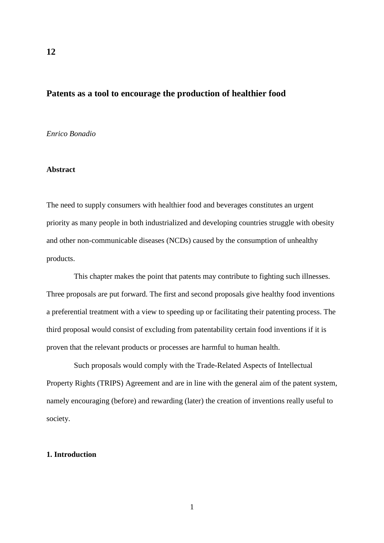### **Patents as a tool to encourage the production of healthier food**

*Enrico Bonadio*

#### **Abstract**

The need to supply consumers with healthier food and beverages constitutes an urgent priority as many people in both industrialized and developing countries struggle with obesity and other non-communicable diseases (NCDs) caused by the consumption of unhealthy products.

This chapter makes the point that patents may contribute to fighting such illnesses. Three proposals are put forward. The first and second proposals give healthy food inventions a preferential treatment with a view to speeding up or facilitating their patenting process. The third proposal would consist of excluding from patentability certain food inventions if it is proven that the relevant products or processes are harmful to human health.

Such proposals would comply with the Trade-Related Aspects of Intellectual Property Rights (TRIPS) Agreement and are in line with the general aim of the patent system, namely encouraging (before) and rewarding (later) the creation of inventions really useful to society.

#### **1. Introduction**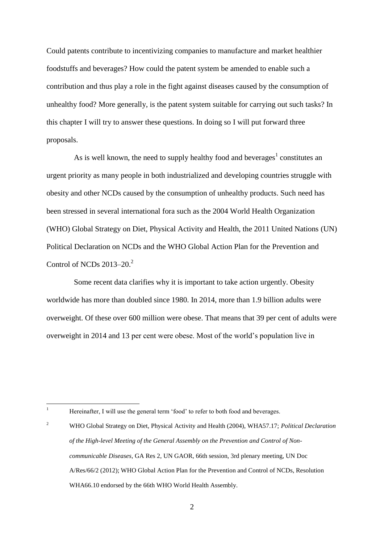Could patents contribute to incentivizing companies to manufacture and market healthier foodstuffs and beverages? How could the patent system be amended to enable such a contribution and thus play a role in the fight against diseases caused by the consumption of unhealthy food? More generally, is the patent system suitable for carrying out such tasks? In this chapter I will try to answer these questions. In doing so I will put forward three proposals.

As is well known, the need to supply healthy food and beverages<sup>1</sup> constitutes an urgent priority as many people in both industrialized and developing countries struggle with obesity and other NCDs caused by the consumption of unhealthy products. Such need has been stressed in several international fora such as the 2004 World Health Organization (WHO) Global Strategy on Diet, Physical Activity and Health, the 2011 United Nations (UN) Political Declaration on NCDs and the WHO Global Action Plan for the Prevention and Control of NCDs  $2013-20.<sup>2</sup>$ 

Some recent data clarifies why it is important to take action urgently. Obesity worldwide has more than doubled since 1980. In 2014, more than 1.9 billion adults were overweight. Of these over 600 million were obese. That means that 39 per cent of adults were overweight in 2014 and 13 per cent were obese. Most of the world's population live in

 $\,1$ 

Hereinafter, I will use the general term 'food' to refer to both food and beverages.

<sup>2</sup> WHO Global Strategy on Diet, Physical Activity and Health (2004), WHA57.17; *Political Declaration of the High-level Meeting of the General Assembly on the Prevention and Control of Noncommunicable Diseases*, GA Res 2, UN GAOR, 66th session, 3rd plenary meeting, UN Doc A/Res/66/2 (2012); WHO Global Action Plan for the Prevention and Control of NCDs, Resolution WHA66.10 endorsed by the 66th WHO World Health Assembly.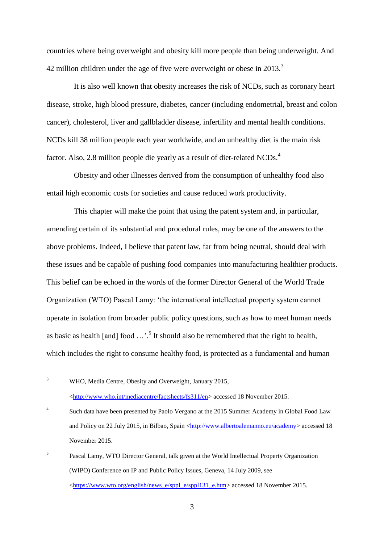countries where being overweight and obesity kill more people than being underweight. And 42 million children under the age of five were overweight or obese in  $2013$ <sup>3</sup>

It is also well known that obesity increases the risk of NCDs, such as coronary heart disease, stroke, high blood pressure, diabetes, cancer (including endometrial, breast and colon cancer), cholesterol, liver and gallbladder disease, infertility and mental health conditions. NCDs kill 38 million people each year worldwide, and an unhealthy diet is the main risk factor. Also, 2.8 million people die yearly as a result of diet-related NCDs.<sup>4</sup>

Obesity and other illnesses derived from the consumption of unhealthy food also entail high economic costs for societies and cause reduced work productivity.

This chapter will make the point that using the patent system and, in particular, amending certain of its substantial and procedural rules, may be one of the answers to the above problems. Indeed, I believe that patent law, far from being neutral, should deal with these issues and be capable of pushing food companies into manufacturing healthier products. This belief can be echoed in the words of the former Director General of the World Trade Organization (WTO) Pascal Lamy: 'the international intellectual property system cannot operate in isolation from broader public policy questions, such as how to meet human needs as basic as health [and] food  $\ldots$ <sup>5</sup>. It should also be remembered that the right to health, which includes the right to consume healthy food, is protected as a fundamental and human

 $\overline{3}$ <sup>3</sup> WHO, Media Centre, Obesity and Overweight, January 2015,

[<http://www.who.int/mediacentre/factsheets/fs311/en>](http://www.who.int/mediacentre/factsheets/fs311/en/) accessed 18 November 2015.

<sup>4</sup> Such data have been presented by Paolo Vergano at the 2015 Summer Academy in Global Food Law and Policy on 22 July 2015, in Bilbao, Spain [<http://www.albertoalemanno.eu/academy>](http://www.albertoalemanno.eu/academy) accessed 18 November 2015.

<sup>5</sup> Pascal Lamy, WTO Director General, talk given at the World Intellectual Property Organization (WIPO) Conference on IP and Public Policy Issues, Geneva, 14 July 2009, see [<https://www.wto.org/english/news\\_e/sppl\\_e/sppl131\\_e.htm>](https://www.wto.org/english/news_e/sppl_e/sppl131_e.htm) accessed 18 November 2015.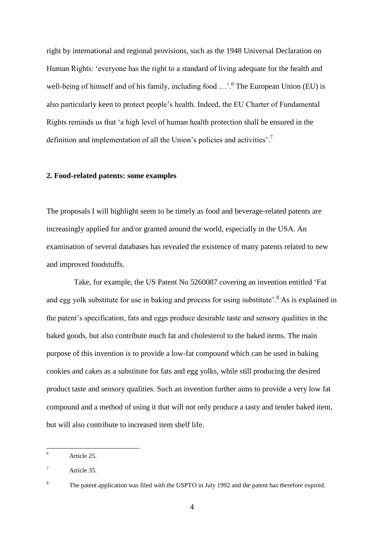right by international and regional provisions, such as the 1948 Universal Declaration on Human Rights: 'everyone has the right to a standard of living adequate for the health and well-being of himself and of his family, including food ...'.<sup>6</sup> The European Union (EU) is also particularly keen to protect people's health. Indeed, the EU Charter of Fundamental Rights reminds us that 'a high level of human health protection shall be ensured in the definition and implementation of all the Union's policies and activities'.<sup>7</sup>

#### **2. Food-related patents: some examples**

The proposals I will highlight seem to be timely as food and beverage-related patents are increasingly applied for and/or granted around the world, especially in the USA. An examination of several databases has revealed the existence of many patents related to new and improved foodstuffs.

Take, for example, the US Patent No 5260087 covering an invention entitled 'Fat and egg yolk substitute for use in baking and process for using substitute'.<sup>8</sup> As is explained in the patent's specification, fats and eggs produce desirable taste and sensory qualities in the baked goods, but also contribute much fat and cholesterol to the baked items. The main purpose of this invention is to provide a low-fat compound which can be used in baking cookies and cakes as a substitute for fats and egg yolks, while still producing the desired product taste and sensory qualities. Such an invention further aims to provide a very low fat compound and a method of using it that will not only produce a tasty and tender baked item, but will also contribute to increased item shelf life.

<sup>6</sup> Article 25.

<sup>7</sup> Article 35.

<sup>&</sup>lt;sup>8</sup> The patent application was filed with the USPTO in July 1992 and the patent has therefore expired.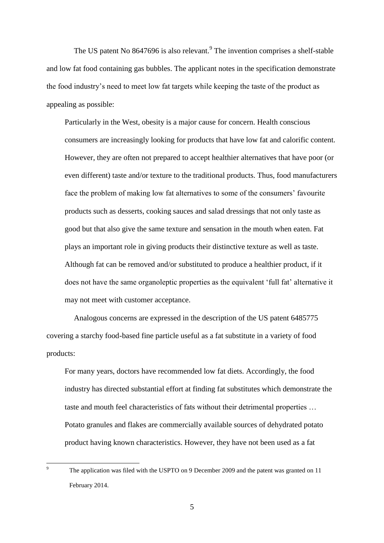The US patent No  $8647696$  is also relevant.<sup>9</sup> The invention comprises a shelf-stable and low fat food containing gas bubbles. The applicant notes in the specification demonstrate the food industry's need to meet low fat targets while keeping the taste of the product as appealing as possible:

Particularly in the West, obesity is a major cause for concern. Health conscious consumers are increasingly looking for products that have low fat and calorific content. However, they are often not prepared to accept healthier alternatives that have poor (or even different) taste and/or texture to the traditional products. Thus, food manufacturers face the problem of making low fat alternatives to some of the consumers' favourite products such as desserts, cooking sauces and salad dressings that not only taste as good but that also give the same texture and sensation in the mouth when eaten. Fat plays an important role in giving products their distinctive texture as well as taste. Although fat can be removed and/or substituted to produce a healthier product, if it does not have the same organoleptic properties as the equivalent 'full fat' alternative it may not meet with customer acceptance.

Analogous concerns are expressed in the description of the US patent 6485775 covering a starchy food-based fine particle useful as a fat substitute in a variety of food products:

For many years, doctors have recommended low fat diets. Accordingly, the food industry has directed substantial effort at finding fat substitutes which demonstrate the taste and mouth feel characteristics of fats without their detrimental properties … Potato granules and flakes are commercially available sources of dehydrated potato product having known characteristics. However, they have not been used as a fat

 $\overline{9}$ The application was filed with the USPTO on 9 December 2009 and the patent was granted on 11 February 2014.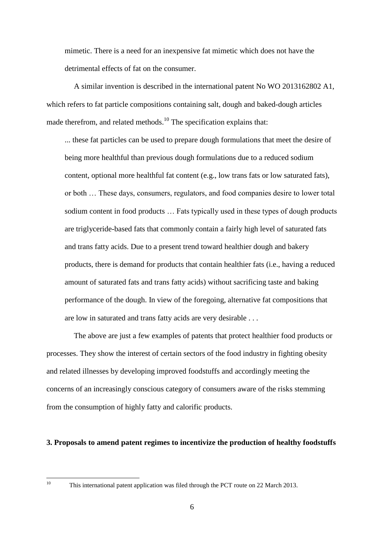mimetic. There is a need for an inexpensive fat mimetic which does not have the detrimental effects of fat on the consumer.

A similar invention is described in the international patent No WO 2013162802 A1, which refers to fat particle compositions containing salt, dough and baked-dough articles made therefrom, and related methods.<sup>10</sup> The specification explains that:

... these fat particles can be used to prepare dough formulations that meet the desire of being more healthful than previous dough formulations due to a reduced sodium content, optional more healthful fat content (e.g., low trans fats or low saturated fats), or both … These days, consumers, regulators, and food companies desire to lower total sodium content in food products … Fats typically used in these types of dough products are triglyceride-based fats that commonly contain a fairly high level of saturated fats and trans fatty acids. Due to a present trend toward healthier dough and bakery products, there is demand for products that contain healthier fats (i.e., having a reduced amount of saturated fats and trans fatty acids) without sacrificing taste and baking performance of the dough. In view of the foregoing, alternative fat compositions that are low in saturated and trans fatty acids are very desirable . . .

The above are just a few examples of patents that protect healthier food products or processes. They show the interest of certain sectors of the food industry in fighting obesity and related illnesses by developing improved foodstuffs and accordingly meeting the concerns of an increasingly conscious category of consumers aware of the risks stemming from the consumption of highly fatty and calorific products.

#### **3. Proposals to amend patent regimes to incentivize the production of healthy foodstuffs**

 $10$ 

This international patent application was filed through the PCT route on 22 March 2013.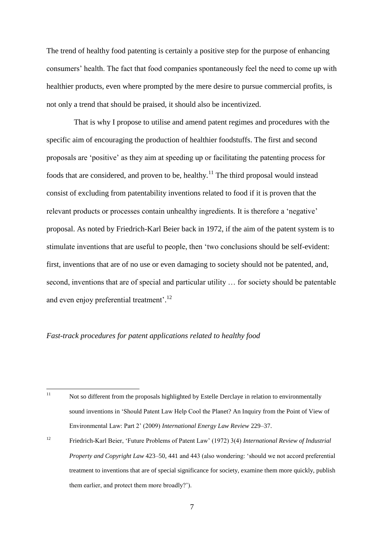The trend of healthy food patenting is certainly a positive step for the purpose of enhancing consumers' health. The fact that food companies spontaneously feel the need to come up with healthier products, even where prompted by the mere desire to pursue commercial profits, is not only a trend that should be praised, it should also be incentivized.

That is why I propose to utilise and amend patent regimes and procedures with the specific aim of encouraging the production of healthier foodstuffs. The first and second proposals are 'positive' as they aim at speeding up or facilitating the patenting process for foods that are considered, and proven to be, healthy.<sup>11</sup> The third proposal would instead consist of excluding from patentability inventions related to food if it is proven that the relevant products or processes contain unhealthy ingredients. It is therefore a 'negative' proposal. As noted by Friedrich-Karl Beier back in 1972, if the aim of the patent system is to stimulate inventions that are useful to people, then 'two conclusions should be self-evident: first, inventions that are of no use or even damaging to society should not be patented, and, second, inventions that are of special and particular utility … for society should be patentable and even enjoy preferential treatment'.<sup>12</sup>

## *Fast-track procedures for patent applications related to healthy food*

 $11$ Not so different from the proposals highlighted by Estelle Derclaye in relation to environmentally sound inventions in 'Should Patent Law Help Cool the Planet? An Inquiry from the Point of View of Environmental Law: Part 2' (2009) *International Energy Law Review* 229–37.

<sup>12</sup> Friedrich-Karl Beier, 'Future Problems of Patent Law' (1972) 3(4) *International Review of Industrial Property and Copyright Law* 423–50, 441 and 443 (also wondering: 'should we not accord preferential treatment to inventions that are of special significance for society, examine them more quickly, publish them earlier, and protect them more broadly?').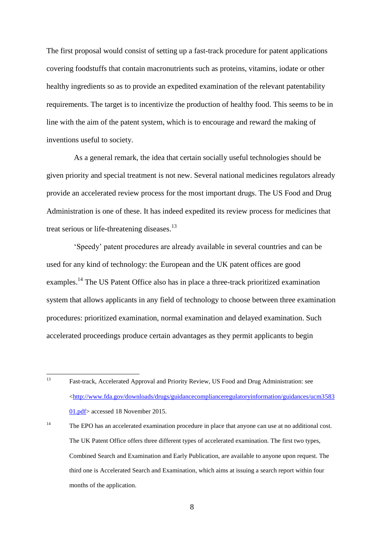The first proposal would consist of setting up a fast-track procedure for patent applications covering foodstuffs that contain macronutrients such as proteins, vitamins, iodate or other healthy ingredients so as to provide an expedited examination of the relevant patentability requirements. The target is to incentivize the production of healthy food. This seems to be in line with the aim of the patent system, which is to encourage and reward the making of inventions useful to society.

As a general remark, the idea that certain socially useful technologies should be given priority and special treatment is not new. Several national medicines regulators already provide an accelerated review process for the most important drugs. The US Food and Drug Administration is one of these. It has indeed expedited its review process for medicines that treat serious or life-threatening diseases.<sup>13</sup>

'Speedy' patent procedures are already available in several countries and can be used for any kind of technology: the European and the UK patent offices are good examples.<sup>14</sup> The US Patent Office also has in place a three-track prioritized examination system that allows applicants in any field of technology to choose between three examination procedures: prioritized examination, normal examination and delayed examination. Such accelerated proceedings produce certain advantages as they permit applicants to begin

 $13$ <sup>13</sup> Fast-track, Accelerated Approval and Priority Review, US Food and Drug Administration: see  $\langle$ http://www.fda.gov/downloads/drugs/guidancecomplianceregulatoryinformation/guidances/ucm3583 [01.pdf>](http://www.fda.gov/downloads/drugs/guidancecomplianceregulatoryinformation/guidances/ucm358301.pdf) accessed 18 November 2015.

<sup>&</sup>lt;sup>14</sup> The EPO has an accelerated examination procedure in place that anyone can use at no additional cost. The UK Patent Office offers three different types of accelerated examination. The first two types, Combined Search and Examination and Early Publication, are available to anyone upon request. The third one is Accelerated Search and Examination, which aims at issuing a search report within four months of the application.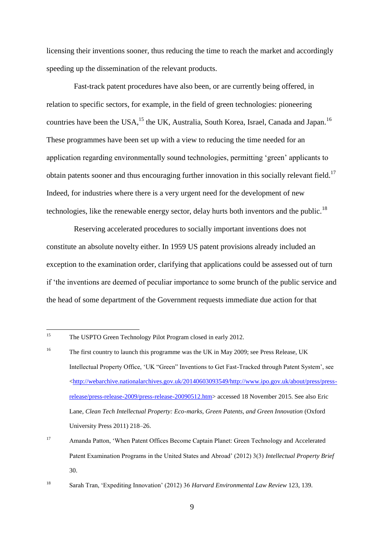licensing their inventions sooner, thus reducing the time to reach the market and accordingly speeding up the dissemination of the relevant products.

Fast-track patent procedures have also been, or are currently being offered, in relation to specific sectors, for example, in the field of green technologies: pioneering countries have been the USA,<sup>15</sup> the UK, Australia, South Korea, Israel, Canada and Japan.<sup>16</sup> These programmes have been set up with a view to reducing the time needed for an application regarding environmentally sound technologies, permitting 'green' applicants to obtain patents sooner and thus encouraging further innovation in this socially relevant field.<sup>17</sup> Indeed, for industries where there is a very urgent need for the development of new technologies, like the renewable energy sector, delay hurts both inventors and the public.<sup>18</sup>

Reserving accelerated procedures to socially important inventions does not constitute an absolute novelty either. In 1959 US patent provisions already included an exception to the examination order, clarifying that applications could be assessed out of turn if 'the inventions are deemed of peculiar importance to some brunch of the public service and the head of some department of the Government requests immediate due action for that

 $15$ The USPTO Green Technology Pilot Program closed in early 2012.

<sup>&</sup>lt;sup>16</sup> The first country to launch this programme was the UK in May 2009; see Press Release, UK Intellectual Property Office, 'UK "Green" Inventions to Get Fast-Tracked through Patent System', see  $\langle$ http://webarchive.nationalarchives.gov.uk/20140603093549/http://www.ipo.gov.uk/about/press/press[release/press-release-2009/press-release-20090512.htm>](http://webarchive.nationalarchives.gov.uk/20140603093549/http:/www.ipo.gov.uk/about/press/press-release/press-release-2009/press-release-20090512.htm) accessed 18 November 2015. See also Eric Lane, *Clean Tech Intellectual Property: Eco-marks, Green Patents, and Green Innovation* (Oxford University Press 2011) 218–26.

<sup>&</sup>lt;sup>17</sup> Amanda Patton, 'When Patent Offices Become Captain Planet: Green Technology and Accelerated Patent Examination Programs in the United States and Abroad' (2012) 3(3) *Intellectual Property Brief* 30.

<sup>18</sup> Sarah Tran, 'Expediting Innovation' (2012) 36 *Harvard Environmental Law Review* 123, 139.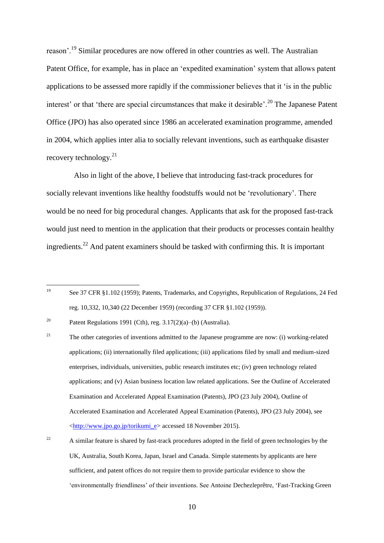reason'.<sup>19</sup> Similar procedures are now offered in other countries as well. The Australian Patent Office, for example, has in place an 'expedited examination' system that allows patent applications to be assessed more rapidly if the commissioner believes that it 'is in the public interest' or that 'there are special circumstances that make it desirable'.<sup>20</sup> The Japanese Patent Office (JPO) has also operated since 1986 an accelerated examination programme, amended in 2004, which applies inter alia to socially relevant inventions, such as earthquake disaster recovery technology. $^{21}$ 

Also in light of the above, I believe that introducing fast-track procedures for socially relevant inventions like healthy foodstuffs would not be 'revolutionary'. There would be no need for big procedural changes. Applicants that ask for the proposed fast-track would just need to mention in the application that their products or processes contain healthy ingredients.<sup>22</sup> And patent examiners should be tasked with confirming this. It is important

<sup>20</sup> Patent Regulations 1991 (Cth), reg.  $3.17(2)(a)$ –(b) (Australia).

<sup>19</sup> See 37 CFR §1.102 (1959); Patents, Trademarks, and Copyrights, Republication of Regulations, 24 Fed reg. 10,332, 10,340 (22 December 1959) (recording 37 CFR §1.102 (1959)).

<sup>&</sup>lt;sup>21</sup> The other categories of inventions admitted to the Japanese programme are now: (i) working-related applications; (ii) internationally filed applications; (iii) applications filed by small and medium-sized enterprises, individuals, universities, public research institutes etc; (iv) green technology related applications; and (v) Asian business location law related applications. See the Outline of Accelerated Examination and Accelerated Appeal Examination (Patents), JPO (23 July 2004), Outline of Accelerated Examination and Accelerated Appeal Examination (Patents), JPO (23 July 2004), see [<http://www.jpo.go.jp/torikumi\\_e>](http://www.jpo.go.jp/torikumi_e/) accessed 18 November 2015).

<sup>&</sup>lt;sup>22</sup> A similar feature is shared by fast-track procedures adopted in the field of green technologies by the UK, Australia, South Korea, Japan, Israel and Canada. Simple statements by applicants are here sufficient, and patent offices do not require them to provide particular evidence to show the 'environmentally friendliness' of their inventions. See Antoine Dechezleprêtre, 'Fast-Tracking Green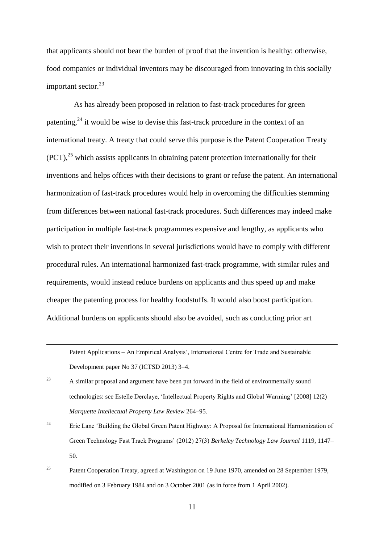that applicants should not bear the burden of proof that the invention is healthy: otherwise, food companies or individual inventors may be discouraged from innovating in this socially important sector. $^{23}$ 

As has already been proposed in relation to fast-track procedures for green patenting, $2<sup>4</sup>$  it would be wise to devise this fast-track procedure in the context of an international treaty. A treaty that could serve this purpose is the Patent Cooperation Treaty  $(PCT)$ ,<sup>25</sup> which assists applicants in obtaining patent protection internationally for their inventions and helps offices with their decisions to grant or refuse the patent. An international harmonization of fast-track procedures would help in overcoming the difficulties stemming from differences between national fast-track procedures. Such differences may indeed make participation in multiple fast-track programmes expensive and lengthy, as applicants who wish to protect their inventions in several jurisdictions would have to comply with different procedural rules. An international harmonized fast-track programme, with similar rules and requirements, would instead reduce burdens on applicants and thus speed up and make cheaper the patenting process for healthy foodstuffs. It would also boost participation. Additional burdens on applicants should also be avoided, such as conducting prior art

Patent Applications – An Empirical Analysis', International Centre for Trade and Sustainable Development paper No 37 (ICTSD 2013) 3–4.

 $\overline{a}$ 

- <sup>23</sup> A similar proposal and argument have been put forward in the field of environmentally sound technologies: see Estelle Derclaye, 'Intellectual Property Rights and Global Warming' [2008] 12(2) *Marquette Intellectual Property Law Review* 264–95.
- <sup>24</sup> Eric Lane 'Building the Global Green Patent Highway: A Proposal for International Harmonization of Green Technology Fast Track Programs' (2012) 27(3) *Berkeley Technology Law Journal* 1119, 1147– 50.
- <sup>25</sup> Patent Cooperation Treaty, agreed at Washington on 19 June 1970, amended on 28 September 1979, modified on 3 February 1984 and on 3 October 2001 (as in force from 1 April 2002).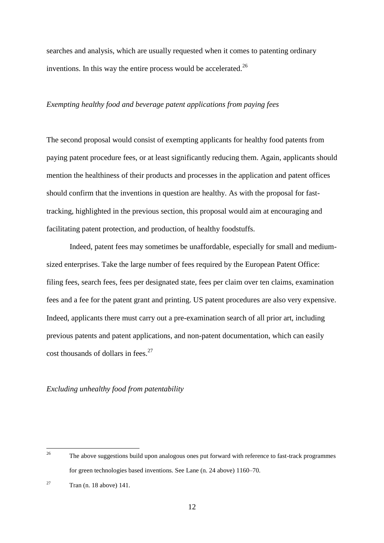searches and analysis, which are usually requested when it comes to patenting ordinary inventions. In this way the entire process would be accelerated. $^{26}$ 

#### *Exempting healthy food and beverage patent applications from paying fees*

The second proposal would consist of exempting applicants for healthy food patents from paying patent procedure fees, or at least significantly reducing them. Again, applicants should mention the healthiness of their products and processes in the application and patent offices should confirm that the inventions in question are healthy. As with the proposal for fasttracking, highlighted in the previous section, this proposal would aim at encouraging and facilitating patent protection, and production, of healthy foodstuffs.

Indeed, patent fees may sometimes be unaffordable, especially for small and mediumsized enterprises. Take the large number of fees required by the European Patent Office: filing fees, search fees, fees per designated state, fees per claim over ten claims, examination fees and a fee for the patent grant and printing. US patent procedures are also very expensive. Indeed, applicants there must carry out a pre-examination search of all prior art, including previous patents and patent applications, and non-patent documentation, which can easily cost thousands of dollars in fees.<sup>27</sup>

#### *Excluding unhealthy food from patentability*

<sup>26</sup> <sup>26</sup> The above suggestions build upon analogous ones put forward with reference to fast-track programmes for green technologies based inventions. See Lane (n. 24 above) 1160–70.

<sup>&</sup>lt;sup>27</sup> Tran (n. 18 above) 141.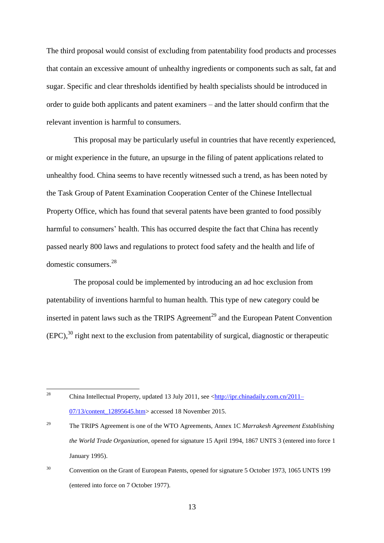The third proposal would consist of excluding from patentability food products and processes that contain an excessive amount of unhealthy ingredients or components such as salt, fat and sugar. Specific and clear thresholds identified by health specialists should be introduced in order to guide both applicants and patent examiners – and the latter should confirm that the relevant invention is harmful to consumers.

This proposal may be particularly useful in countries that have recently experienced, or might experience in the future, an upsurge in the filing of patent applications related to unhealthy food. China seems to have recently witnessed such a trend, as has been noted by the Task Group of Patent Examination Cooperation Center of the Chinese Intellectual Property Office, which has found that several patents have been granted to food possibly harmful to consumers' health. This has occurred despite the fact that China has recently passed nearly 800 laws and regulations to protect food safety and the health and life of domestic consumers.<sup>28</sup>

The proposal could be implemented by introducing an ad hoc exclusion from patentability of inventions harmful to human health. This type of new category could be inserted in patent laws such as the TRIPS Agreement<sup>29</sup> and the European Patent Convention  $(EPC)$ ,<sup>30</sup> right next to the exclusion from patentability of surgical, diagnostic or therapeutic

<sup>28</sup> China Intellectual Property, updated 13 July 2011, see [<http://ipr.chinadaily.com.cn/2011–](http://ipr.chinadaily.com.cn/2011-07/13/content_12895645.htm) [07/13/content\\_12895645.htm>](http://ipr.chinadaily.com.cn/2011-07/13/content_12895645.htm) accessed 18 November 2015.

<sup>29</sup> The TRIPS Agreement is one of the WTO Agreements, Annex 1C *Marrakesh Agreement Establishing the World Trade Organization*, opened for signature 15 April 1994, 1867 UNTS 3 (entered into force 1 January 1995).

<sup>&</sup>lt;sup>30</sup> Convention on the Grant of European Patents, opened for signature 5 October 1973, 1065 UNTS 199 (entered into force on 7 October 1977).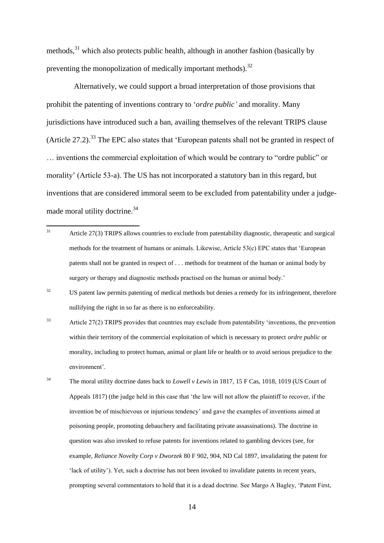methods,<sup>31</sup> which also protects public health, although in another fashion (basically by preventing the monopolization of medically important methods).<sup>32</sup>

Alternatively, we could support a broad interpretation of those provisions that prohibit the patenting of inventions contrary to '*ordre public'* and morality. Many jurisdictions have introduced such a ban, availing themselves of the relevant TRIPS clause (Article 27.2).<sup>33</sup> The EPC also states that 'European patents shall not be granted in respect of … inventions the commercial exploitation of which would be contrary to "ordre public" or morality' (Article 53-a). The US has not incorporated a statutory ban in this regard, but inventions that are considered immoral seem to be excluded from patentability under a judgemade moral utility doctrine.<sup>34</sup>

- $31$ Article 27(3) TRIPS allows countries to exclude from patentability diagnostic, therapeutic and surgical methods for the treatment of humans or animals. Likewise, Article 53(c) EPC states that 'European patents shall not be granted in respect of . . . methods for treatment of the human or animal body by surgery or therapy and diagnostic methods practised on the human or animal body.'
- <sup>32</sup> US patent law permits patenting of medical methods but denies a remedy for its infringement, therefore nullifying the right in so far as there is no enforceability.
- <sup>33</sup> Article 27(2) TRIPS provides that countries may exclude from patentability 'inventions, the prevention within their territory of the commercial exploitation of which is necessary to protect *ordre public* or morality, including to protect human, animal or plant life or health or to avoid serious prejudice to the environment'.
- <sup>34</sup> The moral utility doctrine dates back to *Lowell v Lewis* in 1817, 15 F Cas, 1018, 1019 (US Court of Appeals 1817) (the judge held in this case that 'the law will not allow the plaintiff to recover, if the invention be of mischievous or injurious tendency' and gave the examples of inventions aimed at poisoning people, promoting debauchery and facilitating private assassinations). The doctrine in question was also invoked to refuse patents for inventions related to gambling devices (see, for example, *Reliance Novelty Corp v Dworzek* 80 F 902, 904, ND Cal 1897, invalidating the patent for 'lack of utility'). Yet, such a doctrine has not been invoked to invalidate patents in recent years, prompting several commentators to hold that it is a dead doctrine. See Margo A Bagley, 'Patent First,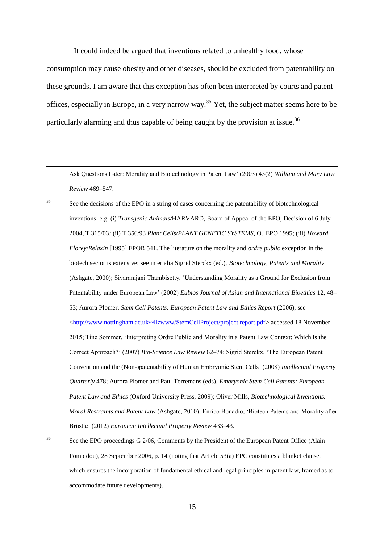It could indeed be argued that inventions related to unhealthy food, whose consumption may cause obesity and other diseases, should be excluded from patentability on these grounds. I am aware that this exception has often been interpreted by courts and patent offices, especially in Europe, in a very narrow way.<sup>35</sup> Yet, the subject matter seems here to be particularly alarming and thus capable of being caught by the provision at issue.<sup>36</sup>

Ask Questions Later: Morality and Biotechnology in Patent Law' (2003) 45(2) *William and Mary Law Review* 469–547.

- <sup>35</sup> See the decisions of the EPO in a string of cases concerning the patentability of biotechnological inventions: e.g. (i) *Transgenic Animals/*HARVARD, Board of Appeal of the EPO*,* Decision of 6 July 2004*,* T 315/03*;* (ii) T 356/93 *Plant Cells/PLANT GENETIC SYSTEMS*, OJ EPO 1995; (iii) *Howard Florey*/*Relaxin* [1995] EPOR 541. The literature on the morality and *ordre public* exception in the biotech sector is extensive: see inter alia Sigrid Sterckx (ed.), *Biotechnology, Patents and Morality* (Ashgate, 2000); Sivaramjani Thambisetty, 'Understanding Morality as a Ground for Exclusion from Patentability under European Law' (2002) *Eubios Journal of Asian and International Bioethics* 12, 48– 53; Aurora Plomer, *Stem Cell Patents: European Patent Law and Ethics Report* (2006), see [<http://www.nottingham.ac.uk/~llzwww/StemCellProject/project.report.pdf>](http://www.nottingham.ac.uk/~llzwww/StemCellProject/project.report.pdf) accessed 18 November 2015; Tine Sommer, 'Interpreting Ordre Public and Morality in a Patent Law Context: Which is the Correct Approach?' (2007) *Bio-Science Law Review* 62–74; Sigrid Sterckx, 'The European Patent Convention and the (Non-)patentability of Human Embryonic Stem Cells' (2008) *Intellectual Property Quarterly* 478; Aurora Plomer and Paul Torremans (eds), *Embryonic Stem Cell Patents: European Patent Law and Ethics* (Oxford University Press, 2009); Oliver Mills, *Biotechnological Inventions: Moral Restraints and Patent Law* (Ashgate, 2010); Enrico Bonadio, 'Biotech Patents and Morality after Brüstle' (2012) *European Intellectual Property Review* 433–43.
- 

 $\overline{a}$ 

<sup>&</sup>lt;sup>36</sup> See the EPO proceedings G 2/06, Comments by the President of the European Patent Office (Alain Pompidou), 28 September 2006, p. 14 (noting that Article 53(a) EPC constitutes a blanket clause, which ensures the incorporation of fundamental ethical and legal principles in patent law, framed as to accommodate future developments).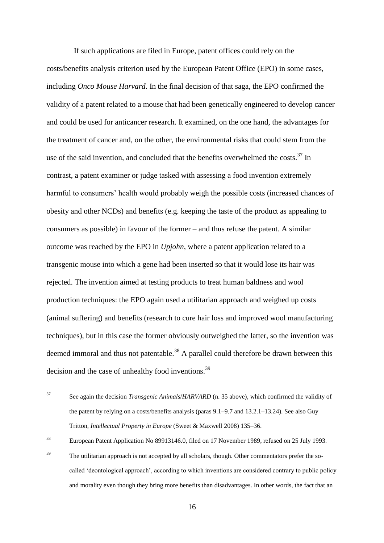If such applications are filed in Europe, patent offices could rely on the costs/benefits analysis criterion used by the European Patent Office (EPO) in some cases, including *Onco Mouse Harvard*. In the final decision of that saga, the EPO confirmed the validity of a patent related to a mouse that had been genetically engineered to develop cancer and could be used for anticancer research. It examined, on the one hand, the advantages for the treatment of cancer and, on the other, the environmental risks that could stem from the use of the said invention, and concluded that the benefits overwhelmed the costs. $^{37}$  In contrast, a patent examiner or judge tasked with assessing a food invention extremely harmful to consumers' health would probably weigh the possible costs (increased chances of obesity and other NCDs) and benefits (e.g. keeping the taste of the product as appealing to consumers as possible) in favour of the former – and thus refuse the patent. A similar outcome was reached by the EPO in *Upjohn*, where a patent application related to a transgenic mouse into which a gene had been inserted so that it would lose its hair was rejected. The invention aimed at testing products to treat human baldness and wool production techniques: the EPO again used a utilitarian approach and weighed up costs (animal suffering) and benefits (research to cure hair loss and improved wool manufacturing techniques), but in this case the former obviously outweighed the latter, so the invention was deemed immoral and thus not patentable.<sup>38</sup> A parallel could therefore be drawn between this decision and the case of unhealthy food inventions.<sup>39</sup>

<sup>37</sup> See again the decision *Transgenic Animals/HARVARD* (n. 35 above), which confirmed the validity of the patent by relying on a costs/benefits analysis (paras 9.1–9.7 and 13.2.1–13.24). See also Guy Tritton, *Intellectual Property in Europe* (Sweet & Maxwell 2008) 135–36.

<sup>38</sup> European Patent Application No 89913146.0, filed on 17 November 1989, refused on 25 July 1993.

<sup>&</sup>lt;sup>39</sup> The utilitarian approach is not accepted by all scholars, though. Other commentators prefer the socalled 'deontological approach', according to which inventions are considered contrary to public policy and morality even though they bring more benefits than disadvantages. In other words, the fact that an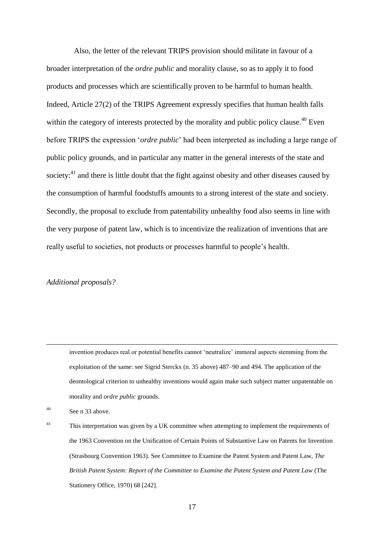Also, the letter of the relevant TRIPS provision should militate in favour of a broader interpretation of the *ordre public* and morality clause, so as to apply it to food products and processes which are scientifically proven to be harmful to human health. Indeed, Article 27(2) of the TRIPS Agreement expressly specifies that human health falls within the category of interests protected by the morality and public policy clause.<sup>40</sup> Even before TRIPS the expression '*ordre public*' had been interpreted as including a large range of public policy grounds, and in particular any matter in the general interests of the state and society:<sup>41</sup> and there is little doubt that the fight against obesity and other diseases caused by the consumption of harmful foodstuffs amounts to a strong interest of the state and society. Secondly, the proposal to exclude from patentability unhealthy food also seems in line with the very purpose of patent law, which is to incentivize the realization of inventions that are really useful to societies, not products or processes harmful to people's health.

#### *Additional proposals?*

invention produces real or potential benefits cannot 'neutralize' immoral aspects stemming from the exploitation of the same: see Sigrid Sterckx (n. 35 above) 487–90 and 494. The application of the deontological criterion to unhealthy inventions would again make such subject matter unpatentable on morality and *ordre public* grounds.

 $\overline{a}$ 

<sup>40</sup> See n 33 above.

<sup>&</sup>lt;sup>41</sup> This interpretation was given by a UK committee when attempting to implement the requirements of the 1963 Convention on the Unification of Certain Points of Substantive Law on Patents for Invention (Strasbourg Convention 1963). See Committee to Examine the Patent System and Patent Law, *The British Patent System: Report of the Committee to Examine the Patent System and Patent Law* (The Stationery Office, 1970) 68 [242].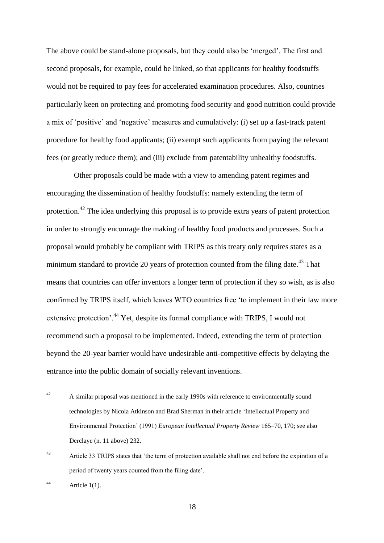The above could be stand-alone proposals, but they could also be 'merged'. The first and second proposals, for example, could be linked, so that applicants for healthy foodstuffs would not be required to pay fees for accelerated examination procedures. Also, countries particularly keen on protecting and promoting food security and good nutrition could provide a mix of 'positive' and 'negative' measures and cumulatively: (i) set up a fast-track patent procedure for healthy food applicants; (ii) exempt such applicants from paying the relevant fees (or greatly reduce them); and (iii) exclude from patentability unhealthy foodstuffs.

Other proposals could be made with a view to amending patent regimes and encouraging the dissemination of healthy foodstuffs: namely extending the term of protection.<sup>42</sup> The idea underlying this proposal is to provide extra years of patent protection in order to strongly encourage the making of healthy food products and processes. Such a proposal would probably be compliant with TRIPS as this treaty only requires states as a minimum standard to provide 20 years of protection counted from the filing date.<sup>43</sup> That means that countries can offer inventors a longer term of protection if they so wish, as is also confirmed by TRIPS itself, which leaves WTO countries free 'to implement in their law more extensive protection'.<sup>44</sup> Yet, despite its formal compliance with TRIPS, I would not recommend such a proposal to be implemented. Indeed, extending the term of protection beyond the 20-year barrier would have undesirable anti-competitive effects by delaying the entrance into the public domain of socially relevant inventions.

 $42$ <sup>42</sup> A similar proposal was mentioned in the early 1990s with reference to environmentally sound technologies by Nicola Atkinson and Brad Sherman in their article 'Intellectual Property and Environmental Protection' (1991) *European Intellectual Property Review* 165–70, 170; see also Derclaye (n. 11 above) 232.

<sup>&</sup>lt;sup>43</sup> Article 33 TRIPS states that 'the term of protection available shall not end before the expiration of a period of twenty years counted from the filing date'.

 $44$  Article 1(1).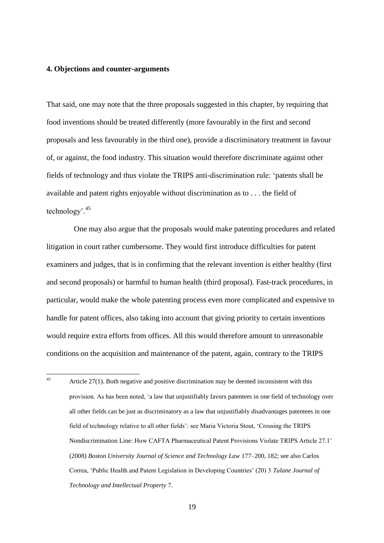#### **4. Objections and counter-arguments**

That said, one may note that the three proposals suggested in this chapter, by requiring that food inventions should be treated differently (more favourably in the first and second proposals and less favourably in the third one), provide a discriminatory treatment in favour of, or against, the food industry. This situation would therefore discriminate against other fields of technology and thus violate the TRIPS anti-discrimination rule: 'patents shall be available and patent rights enjoyable without discrimination as to . . . the field of technology'.<sup>45</sup>

One may also argue that the proposals would make patenting procedures and related litigation in court rather cumbersome. They would first introduce difficulties for patent examiners and judges, that is in confirming that the relevant invention is either healthy (first and second proposals) or harmful to human health (third proposal). Fast-track procedures, in particular, would make the whole patenting process even more complicated and expensive to handle for patent offices, also taking into account that giving priority to certain inventions would require extra efforts from offices. All this would therefore amount to unreasonable conditions on the acquisition and maintenance of the patent, again, contrary to the TRIPS

 $45$ Article  $27(1)$ . Both negative and positive discrimination may be deemed inconsistent with this provision. As has been noted, 'a law that unjustifiably favors patentees in one field of technology over all other fields can be just as discriminatory as a law that unjustifiably disadvantages patentees in one field of technology relative to all other fields': see Maria Victoria Stout, 'Crossing the TRIPS Nondiscrimination Line: How CAFTA Pharmaceutical Patent Provisions Violate TRIPS Article 27.1' (2008) *Boston University Journal of Science and Technology Law* 177–200, 182; see also Carlos Correa, 'Public Health and Patent Legislation in Developing Countries' (20) 3 *Tulane Journal of Technology and Intellectual Property* 7.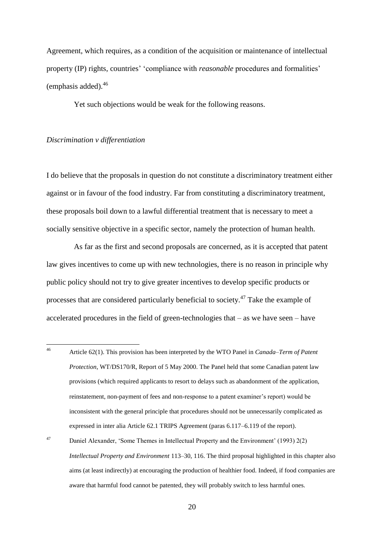Agreement, which requires, as a condition of the acquisition or maintenance of intellectual property (IP) rights, countries' 'compliance with *reasonable* procedures and formalities' (emphasis added). $46$ 

Yet such objections would be weak for the following reasons.

#### *Discrimination v differentiation*

I do believe that the proposals in question do not constitute a discriminatory treatment either against or in favour of the food industry. Far from constituting a discriminatory treatment, these proposals boil down to a lawful differential treatment that is necessary to meet a socially sensitive objective in a specific sector, namely the protection of human health.

As far as the first and second proposals are concerned, as it is accepted that patent law gives incentives to come up with new technologies, there is no reason in principle why public policy should not try to give greater incentives to develop specific products or processes that are considered particularly beneficial to society.<sup>47</sup> Take the example of accelerated procedures in the field of green-technologies that – as we have seen – have

 $46$ <sup>46</sup> Article 62(1). This provision has been interpreted by the WTO Panel in *Canada–Term of Patent Protection*, WT/DS170/R, Report of 5 May 2000. The Panel held that some Canadian patent law provisions (which required applicants to resort to delays such as abandonment of the application, reinstatement, non-payment of fees and non-response to a patent examiner's report) would be inconsistent with the general principle that procedures should not be unnecessarily complicated as expressed in inter alia Article 62.1 TRIPS Agreement (paras 6.117–6.119 of the report).

<sup>47</sup> Daniel Alexander, 'Some Themes in Intellectual Property and the Environment' (1993) 2(2) *Intellectual Property and Environment* 113–30, 116. The third proposal highlighted in this chapter also aims (at least indirectly) at encouraging the production of healthier food. Indeed, if food companies are aware that harmful food cannot be patented, they will probably switch to less harmful ones.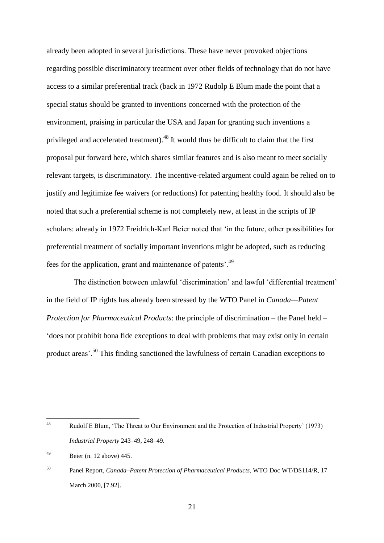already been adopted in several jurisdictions. These have never provoked objections regarding possible discriminatory treatment over other fields of technology that do not have access to a similar preferential track (back in 1972 Rudolp E Blum made the point that a special status should be granted to inventions concerned with the protection of the environment, praising in particular the USA and Japan for granting such inventions a privileged and accelerated treatment).<sup>48</sup> It would thus be difficult to claim that the first proposal put forward here, which shares similar features and is also meant to meet socially relevant targets, is discriminatory. The incentive-related argument could again be relied on to justify and legitimize fee waivers (or reductions) for patenting healthy food. It should also be noted that such a preferential scheme is not completely new, at least in the scripts of IP scholars: already in 1972 Freidrich-Karl Beier noted that 'in the future, other possibilities for preferential treatment of socially important inventions might be adopted, such as reducing fees for the application, grant and maintenance of patents'.<sup>49</sup>

The distinction between unlawful 'discrimination' and lawful 'differential treatment' in the field of IP rights has already been stressed by the WTO Panel in *Canada—Patent Protection for Pharmaceutical Products*: the principle of discrimination – the Panel held – 'does not prohibit bona fide exceptions to deal with problems that may exist only in certain product areas'.<sup>50</sup> This finding sanctioned the lawfulness of certain Canadian exceptions to

 $48\,$ Rudolf E Blum, 'The Threat to Our Environment and the Protection of Industrial Property' (1973) *Industrial Property* 243–49, 248–49.

<sup>49</sup> Beier (n. 12 above) 445.

<sup>50</sup> Panel Report, *Canada–Patent Protection of Pharmaceutical Products*, WTO Doc WT/DS114/R, 17 March 2000, [7.92].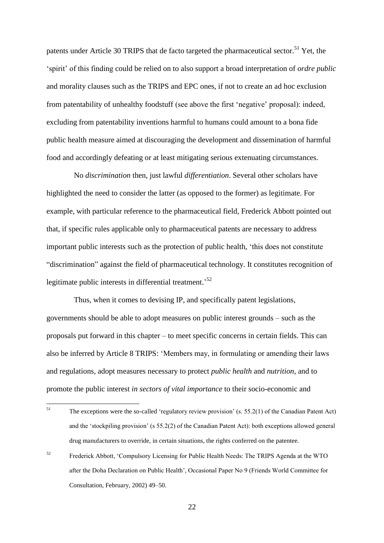patents under Article 30 TRIPS that de facto targeted the pharmaceutical sector.<sup>51</sup> Yet, the 'spirit' of this finding could be relied on to also support a broad interpretation of *ordre public* and morality clauses such as the TRIPS and EPC ones, if not to create an ad hoc exclusion from patentability of unhealthy foodstuff (see above the first 'negative' proposal): indeed, excluding from patentability inventions harmful to humans could amount to a bona fide public health measure aimed at discouraging the development and dissemination of harmful food and accordingly defeating or at least mitigating serious extenuating circumstances.

No *discrimination* then, just lawful *differentiation*. Several other scholars have highlighted the need to consider the latter (as opposed to the former) as legitimate. For example, with particular reference to the pharmaceutical field, Frederick Abbott pointed out that, if specific rules applicable only to pharmaceutical patents are necessary to address important public interests such as the protection of public health, 'this does not constitute "discrimination" against the field of pharmaceutical technology. It constitutes recognition of legitimate public interests in differential treatment.<sup>52</sup>

Thus, when it comes to devising IP, and specifically patent legislations, governments should be able to adopt measures on public interest grounds – such as the proposals put forward in this chapter – to meet specific concerns in certain fields. This can also be inferred by Article 8 TRIPS: 'Members may, in formulating or amending their laws and regulations, adopt measures necessary to protect *public health* and *nutrition*, and to promote the public interest *in sectors of vital importance* to their socio-economic and

<sup>51</sup> The exceptions were the so-called 'regulatory review provision' (s. 55.2(1) of the Canadian Patent Act) and the 'stockpiling provision' (s 55.2(2) of the Canadian Patent Act): both exceptions allowed general drug manufacturers to override, in certain situations, the rights conferred on the patentee.

<sup>52</sup> Frederick Abbott, 'Compulsory Licensing for Public Health Needs: The TRIPS Agenda at the WTO after the Doha Declaration on Public Health', Occasional Paper No 9 (Friends World Committee for Consultation, February, 2002) 49–50.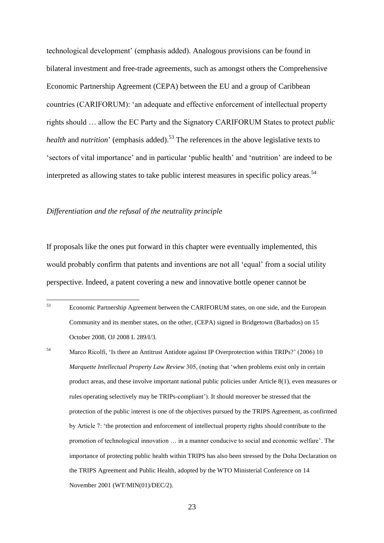technological development' (emphasis added). Analogous provisions can be found in bilateral investment and free-trade agreements, such as amongst others the Comprehensive Economic Partnership Agreement (CEPA) between the EU and a group of Caribbean countries (CARIFORUM): 'an adequate and effective enforcement of intellectual property rights should … allow the EC Party and the Signatory CARIFORUM States to protect *public health* and *nutrition*' (emphasis added). <sup>53</sup> The references in the above legislative texts to 'sectors of vital importance' and in particular 'public health' and 'nutrition' are indeed to be interpreted as allowing states to take public interest measures in specific policy areas.<sup>54</sup>

#### *Differentiation and the refusal of the neutrality principle*

If proposals like the ones put forward in this chapter were eventually implemented, this would probably confirm that patents and inventions are not all 'equal' from a social utility perspective. Indeed, a patent covering a new and innovative bottle opener cannot be

<sup>53</sup> <sup>53</sup> Economic Partnership Agreement between the CARIFORUM states, on one side, and the European Community and its member states, on the other, (CEPA) signed in Bridgetown (Barbados) on 15 October 2008, OJ 2008 L 289/I/3.

<sup>54</sup> Marco Ricolfi, 'Is there an Antitrust Antidote against IP Overprotection within TRIPs?' (2006) 10 *Marquette Intellectual Property Law Review* 305, (noting that 'when problems exist only in certain product areas, and these involve important national public policies under Article 8(1), even measures or rules operating selectively may be TRIPs-compliant'). It should moreover be stressed that the protection of the public interest is one of the objectives pursued by the TRIPS Agreement, as confirmed by Article 7: 'the protection and enforcement of intellectual property rights should contribute to the promotion of technological innovation … in a manner conducive to social and economic welfare'. The importance of protecting public health within TRIPS has also been stressed by the Doha Declaration on the TRIPS Agreement and Public Health, adopted by the WTO Ministerial Conference on 14 November 2001 (WT/MIN(01)/DEC/2).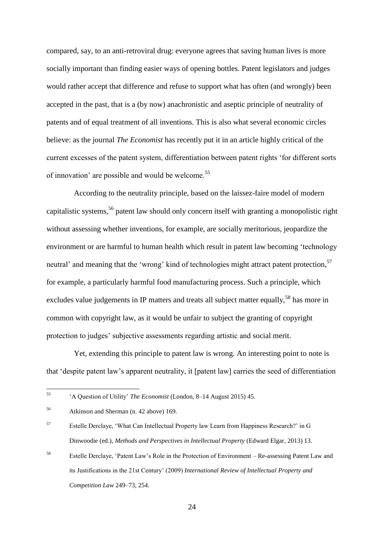compared, say, to an anti-retroviral drug: everyone agrees that saving human lives is more socially important than finding easier ways of opening bottles. Patent legislators and judges would rather accept that difference and refuse to support what has often (and wrongly) been accepted in the past, that is a (by now) anachronistic and aseptic principle of neutrality of patents and of equal treatment of all inventions. This is also what several economic circles believe: as the journal *The Economist* has recently put it in an article highly critical of the current excesses of the patent system, differentiation between patent rights 'for different sorts of innovation' are possible and would be welcome.<sup>55</sup>

According to the neutrality principle, based on the laissez-faire model of modern capitalistic systems,<sup>56</sup> patent law should only concern itself with granting a monopolistic right without assessing whether inventions, for example, are socially meritorious, jeopardize the environment or are harmful to human health which result in patent law becoming 'technology neutral' and meaning that the 'wrong' kind of technologies might attract patent protection,<sup>57</sup> for example, a particularly harmful food manufacturing process. Such a principle, which excludes value judgements in IP matters and treats all subject matter equally,  $58$  has more in common with copyright law, as it would be unfair to subject the granting of copyright protection to judges' subjective assessments regarding artistic and social merit.

Yet, extending this principle to patent law is wrong. An interesting point to note is that 'despite patent law's apparent neutrality, it [patent law] carries the seed of differentiation

<sup>55</sup> <sup>55</sup> 'A Question of Utility' *The Economist* (London, 8–14 August 2015) 45.

<sup>56</sup> Atkinson and Sherman (n. 42 above) 169.

<sup>57</sup> Estelle Derclaye, 'What Can Intellectual Property law Learn from Happiness Research?' in G Dinwoodie (ed.), *Methods and Perspectives in Intellectual Property* (Edward Elgar, 2013) 13.

<sup>58</sup> Estelle Derclaye, 'Patent Law's Role in the Protection of Environment – Re-assessing Patent Law and its Justifications in the 21st Century' (2009) *International Review of Intellectual Property and Competition Law* 249–73, 254.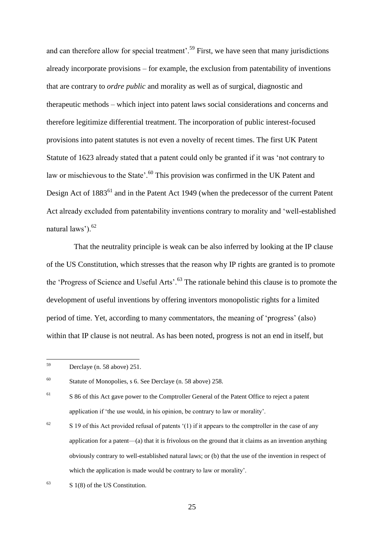and can therefore allow for special treatment'.<sup>59</sup> First, we have seen that many jurisdictions already incorporate provisions – for example, the exclusion from patentability of inventions that are contrary to *ordre public* and morality as well as of surgical, diagnostic and therapeutic methods – which inject into patent laws social considerations and concerns and therefore legitimize differential treatment. The incorporation of public interest-focused provisions into patent statutes is not even a novelty of recent times. The first UK Patent Statute of 1623 already stated that a patent could only be granted if it was 'not contrary to law or mischievous to the State'.<sup>60</sup> This provision was confirmed in the UK Patent and Design Act of 1883<sup>61</sup> and in the Patent Act 1949 (when the predecessor of the current Patent Act already excluded from patentability inventions contrary to morality and 'well-established natural laws').<sup>62</sup>

That the neutrality principle is weak can be also inferred by looking at the IP clause of the US Constitution, which stresses that the reason why IP rights are granted is to promote the 'Progress of Science and Useful Arts'.<sup>63</sup> The rationale behind this clause is to promote the development of useful inventions by offering inventors monopolistic rights for a limited period of time. Yet, according to many commentators, the meaning of 'progress' (also) within that IP clause is not neutral. As has been noted, progress is not an end in itself, but

<sup>60</sup> Statute of Monopolies, s 6. See Derclaye (n. 58 above) 258.

<sup>61</sup> S 86 of this Act gave power to the Comptroller General of the Patent Office to reject a patent application if 'the use would, in his opinion, be contrary to law or morality'.

 $62$  S 19 of this Act provided refusal of patents '(1) if it appears to the comptroller in the case of any application for a patent—(a) that it is frivolous on the ground that it claims as an invention anything obviously contrary to well-established natural laws; or (b) that the use of the invention in respect of which the application is made would be contrary to law or morality'.

<sup>59</sup> Derclaye (n. 58 above) 251.

 $63$  S 1(8) of the US Constitution.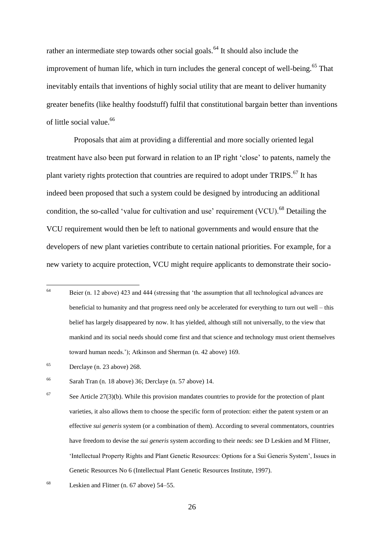rather an intermediate step towards other social goals.<sup>64</sup> It should also include the improvement of human life, which in turn includes the general concept of well-being.<sup>65</sup> That inevitably entails that inventions of highly social utility that are meant to deliver humanity greater benefits (like healthy foodstuff) fulfil that constitutional bargain better than inventions of little social value.<sup>66</sup>

Proposals that aim at providing a differential and more socially oriented legal treatment have also been put forward in relation to an IP right 'close' to patents, namely the plant variety rights protection that countries are required to adopt under TRIPS.<sup>67</sup> It has indeed been proposed that such a system could be designed by introducing an additional condition, the so-called 'value for cultivation and use' requirement  $(VCU)$ <sup>68</sup> Detailing the VCU requirement would then be left to national governments and would ensure that the developers of new plant varieties contribute to certain national priorities. For example, for a new variety to acquire protection, VCU might require applicants to demonstrate their socio-

<sup>65</sup> Derclaye (n. 23 above) 268.

<sup>64</sup> <sup>64</sup> Beier (n. 12 above) 423 and 444 (stressing that 'the assumption that all technological advances are beneficial to humanity and that progress need only be accelerated for everything to turn out well – this belief has largely disappeared by now. It has yielded, although still not universally, to the view that mankind and its social needs should come first and that science and technology must orient themselves toward human needs.'); Atkinson and Sherman (n. 42 above) 169.

<sup>66</sup> Sarah Tran (n. 18 above) 36; Derclaye (n. 57 above) 14.

 $67$  See Article 27(3)(b). While this provision mandates countries to provide for the protection of plant varieties, it also allows them to choose the specific form of protection: either the patent system or an effective *sui generis* system (or a combination of them). According to several commentators, countries have freedom to devise the *sui generis* system according to their needs: see D Leskien and M Flitner, 'Intellectual Property Rights and Plant Genetic Resources: Options for a Sui Generis System', Issues in Genetic Resources No 6 (Intellectual Plant Genetic Resources Institute, 1997).

<sup>68</sup> Leskien and Flitner (n. 67 above) 54–55.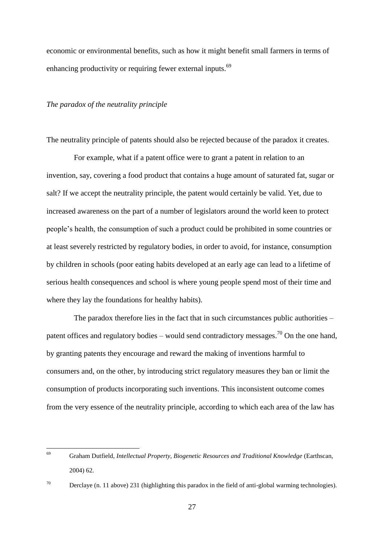economic or environmental benefits, such as how it might benefit small farmers in terms of enhancing productivity or requiring fewer external inputs.<sup>69</sup>

#### *The paradox of the neutrality principle*

The neutrality principle of patents should also be rejected because of the paradox it creates.

For example, what if a patent office were to grant a patent in relation to an invention, say, covering a food product that contains a huge amount of saturated fat, sugar or salt? If we accept the neutrality principle, the patent would certainly be valid. Yet, due to increased awareness on the part of a number of legislators around the world keen to protect people's health, the consumption of such a product could be prohibited in some countries or at least severely restricted by regulatory bodies, in order to avoid, for instance, consumption by children in schools (poor eating habits developed at an early age can lead to a lifetime of serious health consequences and school is where young people spend most of their time and where they lay the foundations for healthy habits).

The paradox therefore lies in the fact that in such circumstances public authorities – patent offices and regulatory bodies – would send contradictory messages.<sup>70</sup> On the one hand, by granting patents they encourage and reward the making of inventions harmful to consumers and, on the other, by introducing strict regulatory measures they ban or limit the consumption of products incorporating such inventions. This inconsistent outcome comes from the very essence of the neutrality principle, according to which each area of the law has

<sup>69</sup> <sup>69</sup> Graham Dutfield, *Intellectual Property, Biogenetic Resources and Traditional Knowledge* (Earthscan, 2004) 62.

<sup>&</sup>lt;sup>70</sup> Derclaye (n. 11 above) 231 (highlighting this paradox in the field of anti-global warming technologies).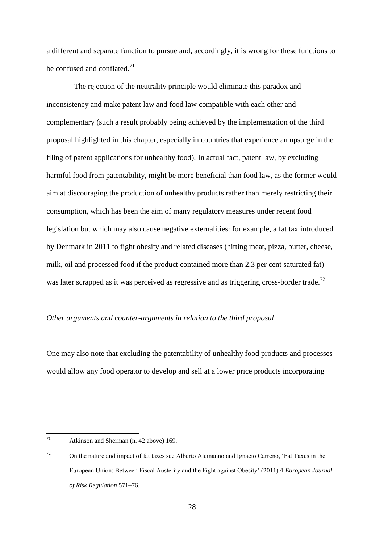a different and separate function to pursue and, accordingly, it is wrong for these functions to be confused and conflated. $71$ 

The rejection of the neutrality principle would eliminate this paradox and inconsistency and make patent law and food law compatible with each other and complementary (such a result probably being achieved by the implementation of the third proposal highlighted in this chapter, especially in countries that experience an upsurge in the filing of patent applications for unhealthy food). In actual fact, patent law, by excluding harmful food from patentability, might be more beneficial than food law, as the former would aim at discouraging the production of unhealthy products rather than merely restricting their consumption, which has been the aim of many regulatory measures under recent food legislation but which may also cause negative externalities: for example, a fat tax introduced by Denmark in 2011 to fight obesity and related diseases (hitting meat, pizza, butter, cheese, milk, oil and processed food if the product contained more than 2.3 per cent saturated fat) was later scrapped as it was perceived as regressive and as triggering cross-border trade.<sup>72</sup>

#### *Other arguments and counter-arguments in relation to the third proposal*

One may also note that excluding the patentability of unhealthy food products and processes would allow any food operator to develop and sell at a lower price products incorporating

 $71$ 

Atkinson and Sherman (n. 42 above) 169.

 $72$  On the nature and impact of fat taxes see Alberto Alemanno and Ignacio Carreno, 'Fat Taxes in the European Union: Between Fiscal Austerity and the Fight against Obesity' (2011) 4 *European Journal of Risk Regulation* 571–76.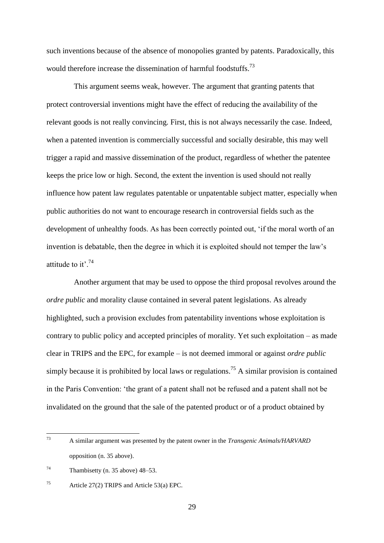such inventions because of the absence of monopolies granted by patents. Paradoxically, this would therefore increase the dissemination of harmful foodstuffs.<sup>73</sup>

This argument seems weak, however. The argument that granting patents that protect controversial inventions might have the effect of reducing the availability of the relevant goods is not really convincing. First, this is not always necessarily the case. Indeed, when a patented invention is commercially successful and socially desirable, this may well trigger a rapid and massive dissemination of the product, regardless of whether the patentee keeps the price low or high. Second, the extent the invention is used should not really influence how patent law regulates patentable or unpatentable subject matter, especially when public authorities do not want to encourage research in controversial fields such as the development of unhealthy foods. As has been correctly pointed out, 'if the moral worth of an invention is debatable, then the degree in which it is exploited should not temper the law's attitude to it'.<sup>74</sup>

Another argument that may be used to oppose the third proposal revolves around the *ordre public* and morality clause contained in several patent legislations. As already highlighted, such a provision excludes from patentability inventions whose exploitation is contrary to public policy and accepted principles of morality. Yet such exploitation – as made clear in TRIPS and the EPC, for example – is not deemed immoral or against *ordre public* simply because it is prohibited by local laws or regulations.<sup>75</sup> A similar provision is contained in the Paris Convention: 'the grant of a patent shall not be refused and a patent shall not be invalidated on the ground that the sale of the patented product or of a product obtained by

<sup>73</sup> <sup>73</sup> A similar argument was presented by the patent owner in the *Transgenic Animals/HARVARD* opposition (n. 35 above).

 $^{74}$  Thambisetty (n. 35 above) 48–53.

<sup>75</sup> Article 27(2) TRIPS and Article 53(a) EPC.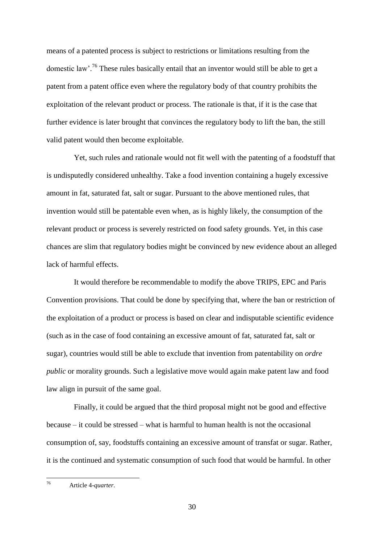means of a patented process is subject to restrictions or limitations resulting from the domestic law'.<sup>76</sup> These rules basically entail that an inventor would still be able to get a patent from a patent office even where the regulatory body of that country prohibits the exploitation of the relevant product or process. The rationale is that, if it is the case that further evidence is later brought that convinces the regulatory body to lift the ban, the still valid patent would then become exploitable.

Yet, such rules and rationale would not fit well with the patenting of a foodstuff that is undisputedly considered unhealthy. Take a food invention containing a hugely excessive amount in fat, saturated fat, salt or sugar. Pursuant to the above mentioned rules, that invention would still be patentable even when, as is highly likely, the consumption of the relevant product or process is severely restricted on food safety grounds. Yet, in this case chances are slim that regulatory bodies might be convinced by new evidence about an alleged lack of harmful effects.

It would therefore be recommendable to modify the above TRIPS, EPC and Paris Convention provisions. That could be done by specifying that, where the ban or restriction of the exploitation of a product or process is based on clear and indisputable scientific evidence (such as in the case of food containing an excessive amount of fat, saturated fat, salt or sugar), countries would still be able to exclude that invention from patentability on *ordre public* or morality grounds. Such a legislative move would again make patent law and food law align in pursuit of the same goal.

Finally, it could be argued that the third proposal might not be good and effective because – it could be stressed – what is harmful to human health is not the occasional consumption of, say, foodstuffs containing an excessive amount of transfat or sugar. Rather, it is the continued and systematic consumption of such food that would be harmful. In other

 $76$ <sup>76</sup> Article 4-*quarter*.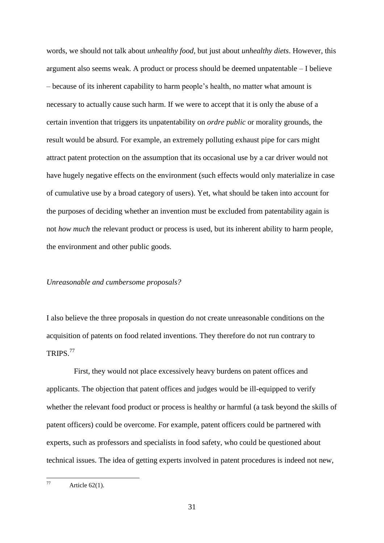words, we should not talk about *unhealthy food*, but just about *unhealthy diets*. However, this argument also seems weak. A product or process should be deemed unpatentable – I believe – because of its inherent capability to harm people's health, no matter what amount is necessary to actually cause such harm. If we were to accept that it is only the abuse of a certain invention that triggers its unpatentability on *ordre public* or morality grounds, the result would be absurd. For example, an extremely polluting exhaust pipe for cars might attract patent protection on the assumption that its occasional use by a car driver would not have hugely negative effects on the environment (such effects would only materialize in case of cumulative use by a broad category of users). Yet, what should be taken into account for the purposes of deciding whether an invention must be excluded from patentability again is not *how much* the relevant product or process is used, but its inherent ability to harm people, the environment and other public goods.

#### *Unreasonable and cumbersome proposals?*

I also believe the three proposals in question do not create unreasonable conditions on the acquisition of patents on food related inventions. They therefore do not run contrary to TRIPS.<sup>77</sup>

First, they would not place excessively heavy burdens on patent offices and applicants. The objection that patent offices and judges would be ill-equipped to verify whether the relevant food product or process is healthy or harmful (a task beyond the skills of patent officers) could be overcome. For example, patent officers could be partnered with experts, such as professors and specialists in food safety, who could be questioned about technical issues. The idea of getting experts involved in patent procedures is indeed not new,

 $77\,$ Article  $62(1)$ .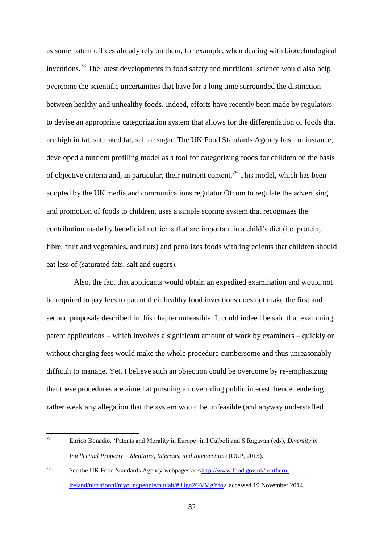as some patent offices already rely on them, for example, when dealing with biotechnological inventions.<sup>78</sup> The latest developments in food safety and nutritional science would also help overcome the scientific uncertainties that have for a long time surrounded the distinction between healthy and unhealthy foods. Indeed, efforts have recently been made by regulators to devise an appropriate categorization system that allows for the differentiation of foods that are high in fat, saturated fat, salt or sugar. The UK Food Standards Agency has, for instance, developed a nutrient profiling model as a tool for categorizing foods for children on the basis of objective criteria and, in particular, their nutrient content.<sup>79</sup> This model, which has been adopted by the UK media and communications regulator Ofcom to regulate the advertising and promotion of foods to children, uses a simple scoring system that recognizes the contribution made by beneficial nutrients that are important in a child's diet (i.e. protein, fibre, fruit and vegetables, and nuts) and penalizes foods with ingredients that children should eat less of (saturated fats, salt and sugars).

Also, the fact that applicants would obtain an expedited examination and would not be required to pay fees to patent their healthy food inventions does not make the first and second proposals described in this chapter unfeasible. It could indeed be said that examining patent applications – which involves a significant amount of work by examiners – quickly or without charging fees would make the whole procedure cumbersome and thus unreasonably difficult to manage. Yet, I believe such an objection could be overcome by re-emphasizing that these procedures are aimed at pursuing an overriding public interest, hence rendering rather weak any allegation that the system would be unfeasible (and anyway understaffed

<sup>78</sup> <sup>78</sup> Enrico Bonadio, 'Patents and Morality in Europe' in I Calboli and S Ragavan (eds), *Diversity in Intellectual Property – Identities, Interests, and Intersections* (CUP, 2015).

<sup>79</sup> See the UK Food Standards Agency webpages at [<http://www.food.gov.uk/northern](http://www.food.gov.uk/northern-ireland/nutritionni/niyoungpeople/nutlab/#.Ugn2GVMgYfo)[ireland/nutritionni/niyoungpeople/nutlab/#.Ugn2GVMgYfo>](http://www.food.gov.uk/northern-ireland/nutritionni/niyoungpeople/nutlab/#.Ugn2GVMgYfo) accessed 19 November 2014.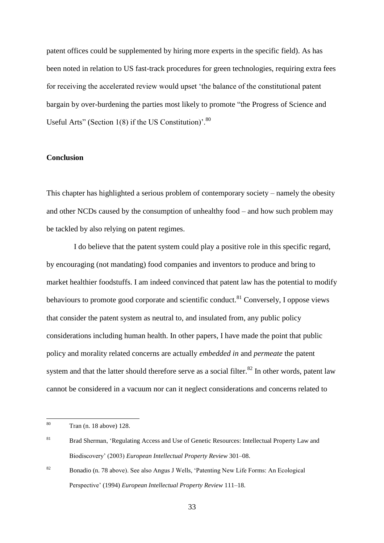patent offices could be supplemented by hiring more experts in the specific field). As has been noted in relation to US fast-track procedures for green technologies, requiring extra fees for receiving the accelerated review would upset 'the balance of the constitutional patent bargain by over-burdening the parties most likely to promote "the Progress of Science and Useful Arts" (Section  $1(8)$  if the US Constitution)'.<sup>80</sup>

#### **Conclusion**

This chapter has highlighted a serious problem of contemporary society – namely the obesity and other NCDs caused by the consumption of unhealthy food – and how such problem may be tackled by also relying on patent regimes.

I do believe that the patent system could play a positive role in this specific regard, by encouraging (not mandating) food companies and inventors to produce and bring to market healthier foodstuffs. I am indeed convinced that patent law has the potential to modify behaviours to promote good corporate and scientific conduct.<sup>81</sup> Conversely, I oppose views that consider the patent system as neutral to, and insulated from, any public policy considerations including human health. In other papers, I have made the point that public policy and morality related concerns are actually *embedded in* and *permeate* the patent system and that the latter should therefore serve as a social filter.<sup>82</sup> In other words, patent law cannot be considered in a vacuum nor can it neglect considerations and concerns related to

 $80\,$ Tran (n. 18 above) 128.

<sup>81</sup> Brad Sherman, 'Regulating Access and Use of Genetic Resources: Intellectual Property Law and Biodiscovery' (2003) *European Intellectual Property Review* 301–08.

<sup>82</sup> Bonadio (n. 78 above). See also Angus J Wells, 'Patenting New Life Forms: An Ecological Perspective' (1994) *European Intellectual Property Review* 111–18.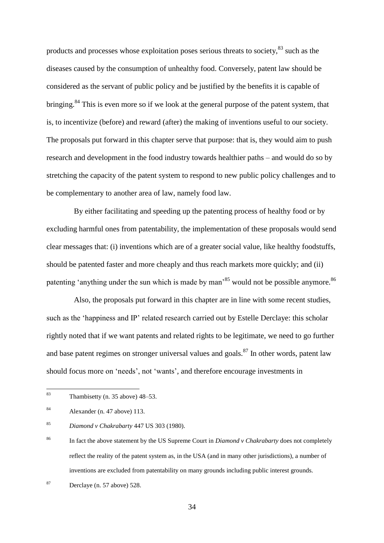products and processes whose exploitation poses serious threats to society,<sup>83</sup> such as the diseases caused by the consumption of unhealthy food. Conversely, patent law should be considered as the servant of public policy and be justified by the benefits it is capable of bringing.<sup>84</sup> This is even more so if we look at the general purpose of the patent system, that is, to incentivize (before) and reward (after) the making of inventions useful to our society. The proposals put forward in this chapter serve that purpose: that is, they would aim to push research and development in the food industry towards healthier paths – and would do so by stretching the capacity of the patent system to respond to new public policy challenges and to be complementary to another area of law, namely food law.

By either facilitating and speeding up the patenting process of healthy food or by excluding harmful ones from patentability, the implementation of these proposals would send clear messages that: (i) inventions which are of a greater social value, like healthy foodstuffs, should be patented faster and more cheaply and thus reach markets more quickly; and (ii) patenting 'anything under the sun which is made by man<sup>85</sup> would not be possible anymore.<sup>86</sup>

Also, the proposals put forward in this chapter are in line with some recent studies, such as the 'happiness and IP' related research carried out by Estelle Derclaye: this scholar rightly noted that if we want patents and related rights to be legitimate, we need to go further and base patent regimes on stronger universal values and goals.<sup>87</sup> In other words, patent law should focus more on 'needs', not 'wants', and therefore encourage investments in

34

<sup>83</sup> Thambisetty (n. 35 above) 48–53.

<sup>84</sup> Alexander (n. 47 above) 113.

<sup>85</sup> *Diamond v Chakrabarty* 447 US 303 (1980).

<sup>86</sup> In fact the above statement by the US Supreme Court in *Diamond v Chakrabarty* does not completely reflect the reality of the patent system as, in the USA (and in many other jurisdictions), a number of inventions are excluded from patentability on many grounds including public interest grounds.

 $87$  Derclaye (n. 57 above) 528.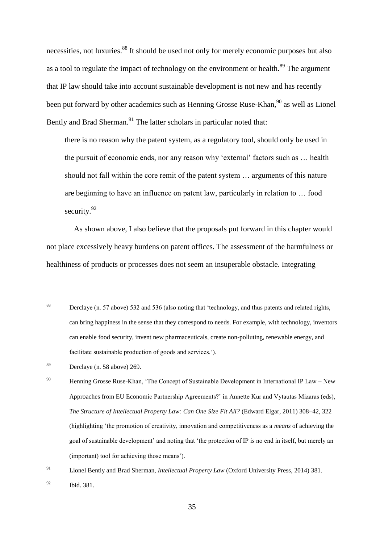necessities, not luxuries.<sup>88</sup> It should be used not only for merely economic purposes but also as a tool to regulate the impact of technology on the environment or health.<sup>89</sup> The argument that IP law should take into account sustainable development is not new and has recently been put forward by other academics such as Henning Grosse Ruse-Khan, <sup>90</sup> as well as Lionel Bently and Brad Sherman.<sup>91</sup> The latter scholars in particular noted that:

there is no reason why the patent system, as a regulatory tool, should only be used in the pursuit of economic ends, nor any reason why 'external' factors such as … health should not fall within the core remit of the patent system … arguments of this nature are beginning to have an influence on patent law, particularly in relation to … food security.<sup>92</sup>

As shown above, I also believe that the proposals put forward in this chapter would not place excessively heavy burdens on patent offices. The assessment of the harmfulness or healthiness of products or processes does not seem an insuperable obstacle. Integrating

88 <sup>88</sup> Derclaye (n. 57 above) 532 and 536 (also noting that 'technology, and thus patents and related rights, can bring happiness in the sense that they correspond to needs. For example, with technology, inventors can enable food security, invent new pharmaceuticals, create non-polluting, renewable energy, and facilitate sustainable production of goods and services.').

<sup>89</sup> Derclaye (n. 58 above) 269.

<sup>&</sup>lt;sup>90</sup> Henning Grosse Ruse-Khan, 'The Concept of Sustainable Development in International IP Law – New Approaches from EU Economic Partnership Agreements?' in Annette Kur and Vytautas Mizaras (eds), *The Structure of Intellectual Property Law: Can One Size Fit All?* (Edward Elgar, 2011) 308–42, 322 (highlighting 'the promotion of creativity, innovation and competitiveness as a *means* of achieving the goal of sustainable development' and noting that 'the protection of IP is no end in itself, but merely an (important) tool for achieving those means').

<sup>91</sup> Lionel Bently and Brad Sherman, *Intellectual Property Law* (Oxford University Press, 2014) 381. <sup>92</sup> Ibid. 381.